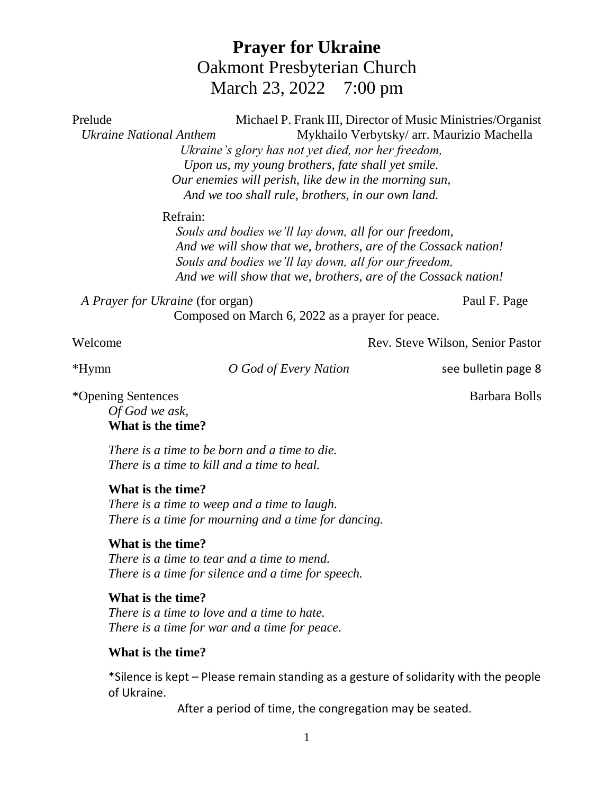# **Prayer for Ukraine** Oakmont Presbyterian Church March 23, 2022 7:00 pm

Prelude Michael P. Frank III, Director of Music Ministries/Organist *Ukraine National Anthem* Mykhailo Verbytsky/ arr. Maurizio Machella *Ukraine's glory has not yet died, nor her freedom, Upon us, my young brothers, fate shall yet smile. Our enemies will perish, like dew in the morning sun, And we too shall rule, brothers, in our own land.* Refrain: *Souls and bodies we'll lay down, all for our freedom, And we will show that we, brothers, are of the Cossack nation! Souls and bodies we'll lay down, all for our freedom, And we will show that we, brothers, are of the Cossack nation! A Prayer for Ukraine* (for organ) Paul F. Page

Composed on March 6, 2022 as a prayer for peace.

Welcome Rev. Steve Wilson, Senior Pastor

\*Hymn *O God of Every Nation* see bulletin page 8

\*Opening Sentences Barbara Bolls *Of God we ask,* **What is the time?**

*There is a time to be born and a time to die. There is a time to kill and a time to heal.*

### **What is the time?**

*There is a time to weep and a time to laugh. There is a time for mourning and a time for dancing.*

### **What is the time?**

*There is a time to tear and a time to mend. There is a time for silence and a time for speech.*

# **What is the time?**

*There is a time to love and a time to hate. There is a time for war and a time for peace.*

### **What is the time?**

\*Silence is kept – Please remain standing as a gesture of solidarity with the people of Ukraine.

After a period of time, the congregation may be seated.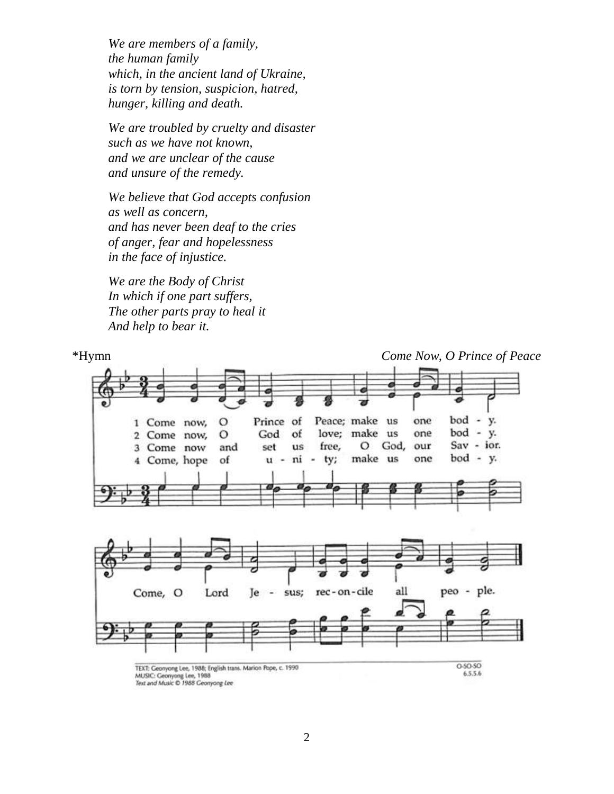*We are members of a family, the human family which, in the ancient land of Ukraine, is torn by tension, suspicion, hatred, hunger, killing and death.*

*We are troubled by cruelty and disaster such as we have not known, and we are unclear of the cause and unsure of the remedy.*

*We believe that God accepts confusion as well as concern, and has never been deaf to the cries of anger, fear and hopelessness in the face of injustice.*

*We are the Body of Christ In which if one part suffers, The other parts pray to heal it And help to bear it.*

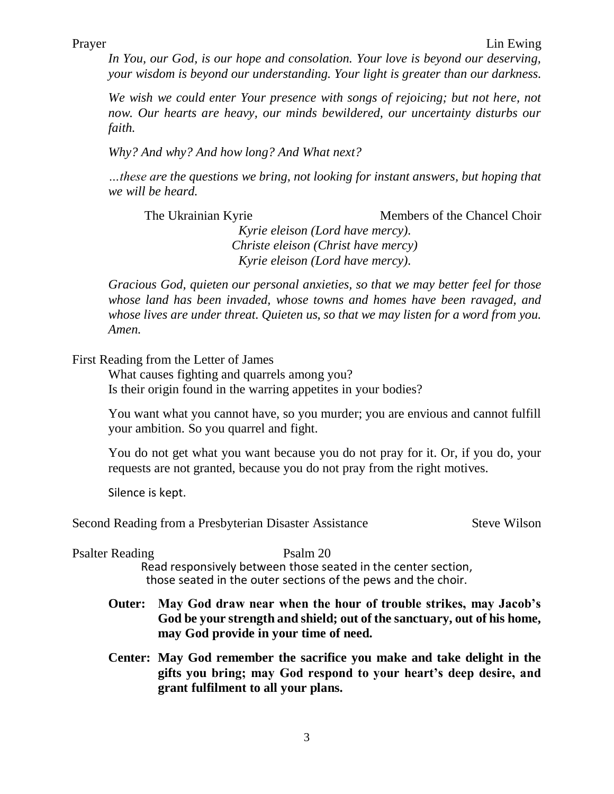*In You, our God, is our hope and consolation. Your love is beyond our deserving, your wisdom is beyond our understanding. Your light is greater than our darkness.*

*We wish we could enter Your presence with songs of rejoicing; but not here, not now. Our hearts are heavy, our minds bewildered, our uncertainty disturbs our faith.*

*Why? And why? And how long? And What next?*

*…these are the questions we bring, not looking for instant answers, but hoping that we will be heard.*

The Ukrainian Kyrie Members of the Chancel Choir

*Kyrie eleison (Lord have mercy). Christe eleison (Christ have mercy) Kyrie eleison (Lord have mercy).*

*Gracious God, quieten our personal anxieties, so that we may better feel for those whose land has been invaded, whose towns and homes have been ravaged, and whose lives are under threat. Quieten us, so that we may listen for a word from you. Amen.*

First Reading from the Letter of James

What causes fighting and quarrels among you? Is their origin found in the warring appetites in your bodies?

You want what you cannot have, so you murder; you are envious and cannot fulfill your ambition. So you quarrel and fight.

You do not get what you want because you do not pray for it. Or, if you do, your requests are not granted, because you do not pray from the right motives.

Silence is kept.

Second Reading from a Presbyterian Disaster Assistance Steve Wilson

Psalter Reading Psalm 20

Read responsively between those seated in the center section, those seated in the outer sections of the pews and the choir.

- **Outer: May God draw near when the hour of trouble strikes, may Jacob's God be your strength and shield; out of the sanctuary, out of his home, may God provide in your time of need.**
- **Center: May God remember the sacrifice you make and take delight in the gifts you bring; may God respond to your heart's deep desire, and grant fulfilment to all your plans.**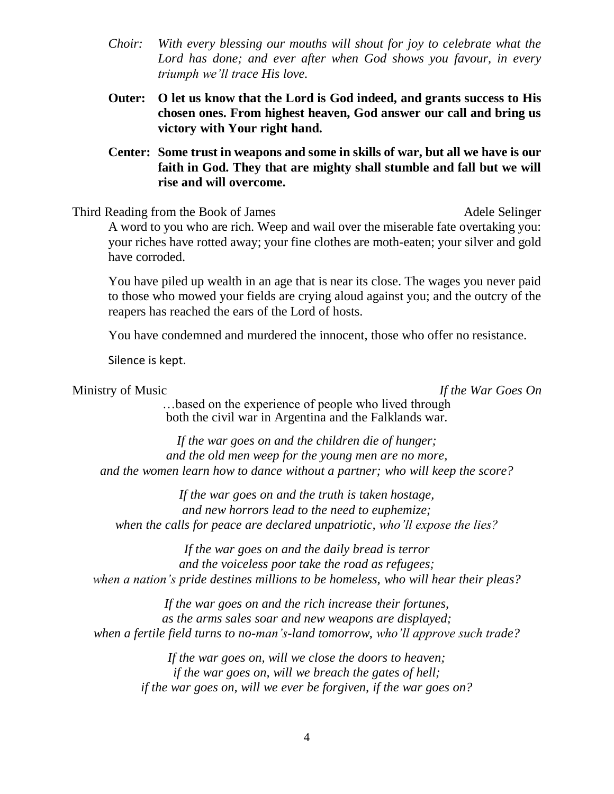- *Choir: With every blessing our mouths will shout for joy to celebrate what the*  Lord has done; and ever after when God shows you favour, in every *triumph we'll trace His love.*
- **Outer: O let us know that the Lord is God indeed, and grants success to His chosen ones. From highest heaven, God answer our call and bring us victory with Your right hand.**
- **Center: Some trust in weapons and some in skills of war, but all we have is our faith in God. They that are mighty shall stumble and fall but we will rise and will overcome.**

Third Reading from the Book of James Adele Selinger A word to you who are rich. Weep and wail over the miserable fate overtaking you: your riches have rotted away; your fine clothes are moth-eaten; your silver and gold have corroded.

You have piled up wealth in an age that is near its close. The wages you never paid to those who mowed your fields are crying aloud against you; and the outcry of the reapers has reached the ears of the Lord of hosts.

You have condemned and murdered the innocent, those who offer no resistance.

Silence is kept.

Ministry of Music *If the War Goes On*

…based on the experience of people who lived through both the civil war in Argentina and the Falklands war.

*If the war goes on and the children die of hunger; and the old men weep for the young men are no more, and the women learn how to dance without a partner; who will keep the score?*

*If the war goes on and the truth is taken hostage, and new horrors lead to the need to euphemize; when the calls for peace are declared unpatriotic, who'll expose the lies?*

*If the war goes on and the daily bread is terror and the voiceless poor take the road as refugees; when a nation's pride destines millions to be homeless, who will hear their pleas?*

*If the war goes on and the rich increase their fortunes, as the arms sales soar and new weapons are displayed; when a fertile field turns to no-man's-land tomorrow, who'll approve such trade?*

> *If the war goes on, will we close the doors to heaven; if the war goes on, will we breach the gates of hell; if the war goes on, will we ever be forgiven, if the war goes on?*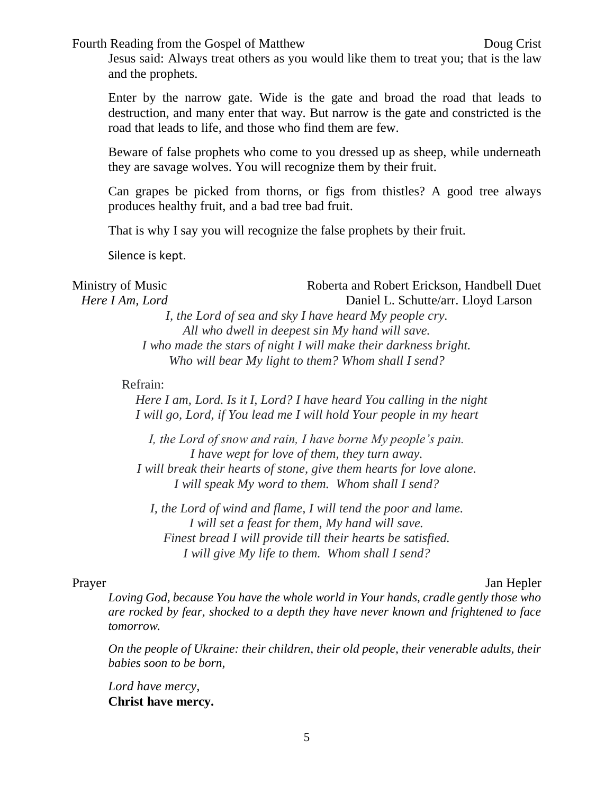Fourth Reading from the Gospel of Matthew Doug Crist

Jesus said: Always treat others as you would like them to treat you; that is the law and the prophets.

Enter by the narrow gate. Wide is the gate and broad the road that leads to destruction, and many enter that way. But narrow is the gate and constricted is the road that leads to life, and those who find them are few.

Beware of false prophets who come to you dressed up as sheep, while underneath they are savage wolves. You will recognize them by their fruit.

Can grapes be picked from thorns, or figs from thistles? A good tree always produces healthy fruit, and a bad tree bad fruit.

That is why I say you will recognize the false prophets by their fruit.

Silence is kept.

Ministry of Music Roberta and Robert Erickson, Handbell Duet *Here I Am, Lord* Daniel L. Schutte/arr. Lloyd Larson

> *I, the Lord of sea and sky I have heard My people cry. All who dwell in deepest sin My hand will save. I who made the stars of night I will make their darkness bright. Who will bear My light to them? Whom shall I send?*

# Refrain:

*Here I am, Lord. Is it I, Lord? I have heard You calling in the night I will go, Lord, if You lead me I will hold Your people in my heart*

*I, the Lord of snow and rain, I have borne My people's pain. I have wept for love of them, they turn away. I will break their hearts of stone, give them hearts for love alone. I will speak My word to them. Whom shall I send?*

*I, the Lord of wind and flame, I will tend the poor and lame. I will set a feast for them, My hand will save. Finest bread I will provide till their hearts be satisfied. I will give My life to them. Whom shall I send?*

### Prayer Jan Hepler

*Loving God, because You have the whole world in Your hands, cradle gently those who are rocked by fear, shocked to a depth they have never known and frightened to face tomorrow.*

*On the people of Ukraine: their children, their old people, their venerable adults, their babies soon to be born,*

*Lord have mercy,* **Christ have mercy.**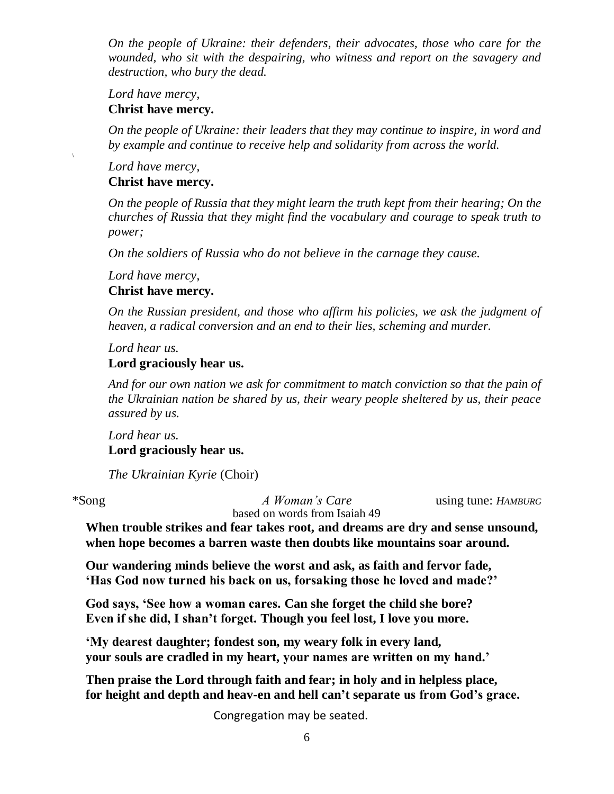*On the people of Ukraine: their defenders, their advocates, those who care for the wounded, who sit with the despairing, who witness and report on the savagery and destruction, who bury the dead.*

*Lord have mercy,*

### **Christ have mercy.**

*On the people of Ukraine: their leaders that they may continue to inspire, in word and by example and continue to receive help and solidarity from across the world.*

### *Lord have mercy,* **Christ have mercy.**

*On the people of Russia that they might learn the truth kept from their hearing; On the churches of Russia that they might find the vocabulary and courage to speak truth to power;*

*On the soldiers of Russia who do not believe in the carnage they cause.*

*Lord have mercy,*

### **Christ have mercy.**

*On the Russian president, and those who affirm his policies, we ask the judgment of heaven, a radical conversion and an end to their lies, scheming and murder.*

# *Lord hear us.* **Lord graciously hear us.**

*And for our own nation we ask for commitment to match conviction so that the pain of the Ukrainian nation be shared by us, their weary people sheltered by us, their peace assured by us.*

*Lord hear us.* **Lord graciously hear us.**

*The Ukrainian Kyrie* (Choir)

*\*

based on words from Isaiah 49

\*Song *A Woman's Care* using tune: *HAMBURG*

**When trouble strikes and fear takes root, and dreams are dry and sense unsound, when hope becomes a barren waste then doubts like mountains soar around.**

**Our wandering minds believe the worst and ask, as faith and fervor fade, 'Has God now turned his back on us, forsaking those he loved and made?'**

**God says, 'See how a woman cares. Can she forget the child she bore? Even if she did, I shan't forget. Though you feel lost, I love you more.**

**'My dearest daughter; fondest son, my weary folk in every land, your souls are cradled in my heart, your names are written on my hand.'**

**Then praise the Lord through faith and fear; in holy and in helpless place, for height and depth and heav-en and hell can't separate us from God's grace.**

Congregation may be seated.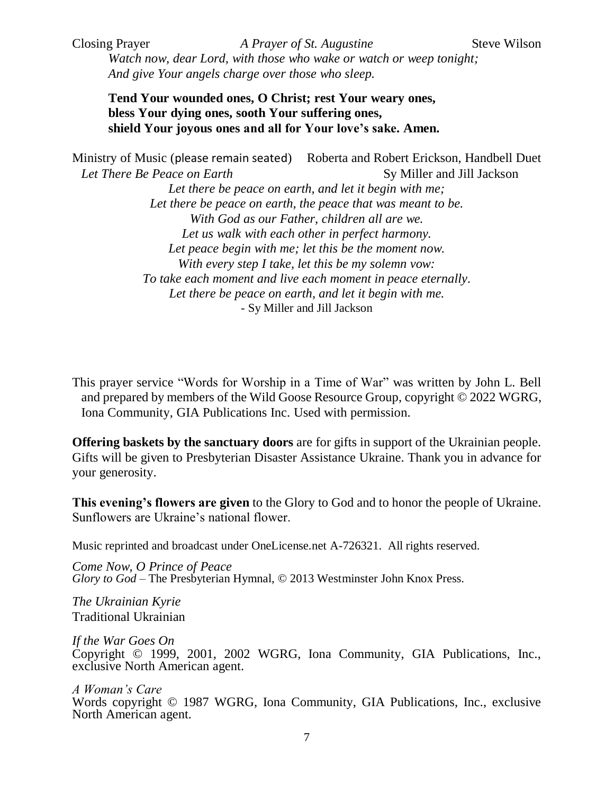Closing Prayer *A Prayer of St. Augustine* Steve Wilson

*Watch now, dear Lord, with those who wake or watch or weep tonight; And give Your angels charge over those who sleep.*

**Tend Your wounded ones, O Christ; rest Your weary ones, bless Your dying ones, sooth Your suffering ones, shield Your joyous ones and all for Your love's sake. Amen.**

Ministry of Music (please remain seated) Roberta and Robert Erickson, Handbell Duet *Let There Be Peace on Earth* Sy Miller and Jill Jackson *Let there be peace on earth, and let it begin with me; Let there be peace on earth, the peace that was meant to be. With God as our Father, children all are we. Let us walk with each other in perfect harmony. Let peace begin with me; let this be the moment now. With every step I take, let this be my solemn vow: To take each moment and live each moment in peace eternally. Let there be peace on earth, and let it begin with me.* - Sy Miller and Jill Jackson

This prayer service "Words for Worship in a Time of War" was written by John L. Bell and prepared by members of the Wild Goose Resource Group, copyright © 2022 WGRG, Iona Community, GIA Publications Inc. Used with permission.

**Offering baskets by the sanctuary doors** are for gifts in support of the Ukrainian people. Gifts will be given to Presbyterian Disaster Assistance Ukraine. Thank you in advance for your generosity.

**This evening's flowers are given** to the Glory to God and to honor the people of Ukraine. Sunflowers are Ukraine's national flower.

Music reprinted and broadcast under OneLicense.net A-726321. All rights reserved.

*Come Now, O Prince of Peace Glory to God* – The Presbyterian Hymnal, © 2013 Westminster John Knox Press.

*The Ukrainian Kyrie* Traditional Ukrainian

*If the War Goes On* Copyright © 1999, 2001, 2002 WGRG, Iona Community, GIA Publications, Inc., exclusive North American agent.

*A Woman's Care* Words copyright © 1987 WGRG, Iona Community, GIA Publications, Inc., exclusive North American agent.